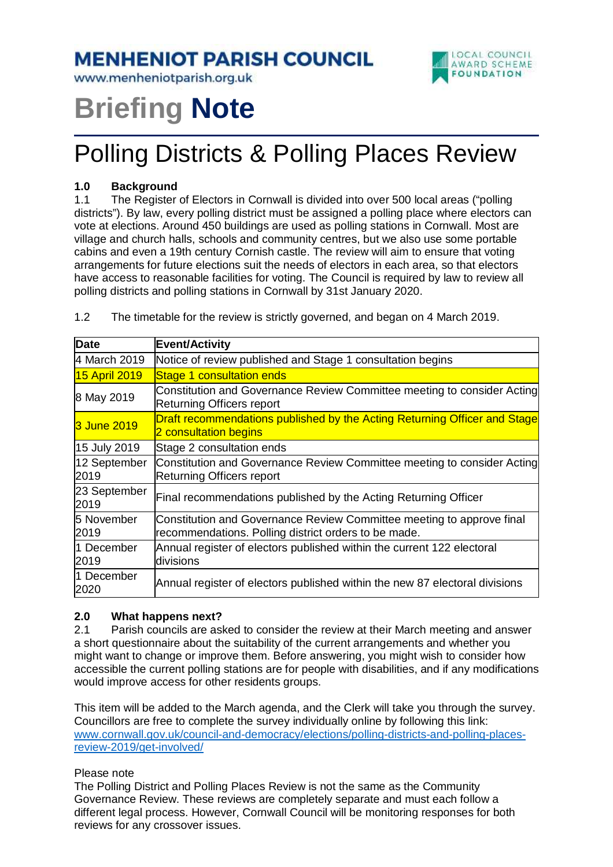**MENHENIOT PARISH COUNCIL** 

www.menheniotparish.org.uk



# **Briefing Note**

## Polling Districts & Polling Places Review

#### **1.0 Background**

1.1 The Register of Electors in Cornwall is divided into over 500 local areas ("polling districts"). By law, every polling district must be assigned a polling place where electors can vote at elections. Around 450 buildings are used as polling stations in Cornwall. Most are village and church halls, schools and community centres, but we also use some portable cabins and even a 19th century Cornish castle. The review will aim to ensure that voting arrangements for future elections suit the needs of electors in each area, so that electors have access to reasonable facilities for voting. The Council is required by law to review all polling districts and polling stations in Cornwall by 31st January 2020.

| <b>Date</b>          | Event/Activity                                                                                                                |
|----------------------|-------------------------------------------------------------------------------------------------------------------------------|
| 4 March 2019         | Notice of review published and Stage 1 consultation begins                                                                    |
| 15 April 2019        | Stage 1 consultation ends                                                                                                     |
| 8 May 2019           | Constitution and Governance Review Committee meeting to consider Acting<br><b>Returning Officers report</b>                   |
| 3 June 2019          | Draft recommendations published by the Acting Returning Officer and Stage<br>2 consultation begins                            |
| 15 July 2019         | Stage 2 consultation ends                                                                                                     |
| 12 September<br>2019 | Constitution and Governance Review Committee meeting to consider Acting<br><b>Returning Officers report</b>                   |
| 23 September<br>2019 | Final recommendations published by the Acting Returning Officer                                                               |
| 5 November<br>2019   | Constitution and Governance Review Committee meeting to approve final<br>recommendations. Polling district orders to be made. |
| 1 December<br>2019   | Annual register of electors published within the current 122 electoral<br>divisions                                           |
| 1 December<br>2020   | Annual register of electors published within the new 87 electoral divisions                                                   |

1.2 The timetable for the review is strictly governed, and began on 4 March 2019.

### **2.0 What happens next?**

2.1 Parish councils are asked to consider the review at their March meeting and answer a short questionnaire about the suitability of the current arrangements and whether you might want to change or improve them. Before answering, you might wish to consider how accessible the current polling stations are for people with disabilities, and if any modifications would improve access for other residents groups.

This item will be added to the March agenda, and the Clerk will take you through the survey. Councillors are free to complete the survey individually online by following this link: www.cornwall.gov.uk/council-and-democracy/elections/polling-districts-and-polling-placesreview-2019/get-involved/

#### Please note

The Polling District and Polling Places Review is not the same as the Community Governance Review. These reviews are completely separate and must each follow a different legal process. However, Cornwall Council will be monitoring responses for both reviews for any crossover issues.